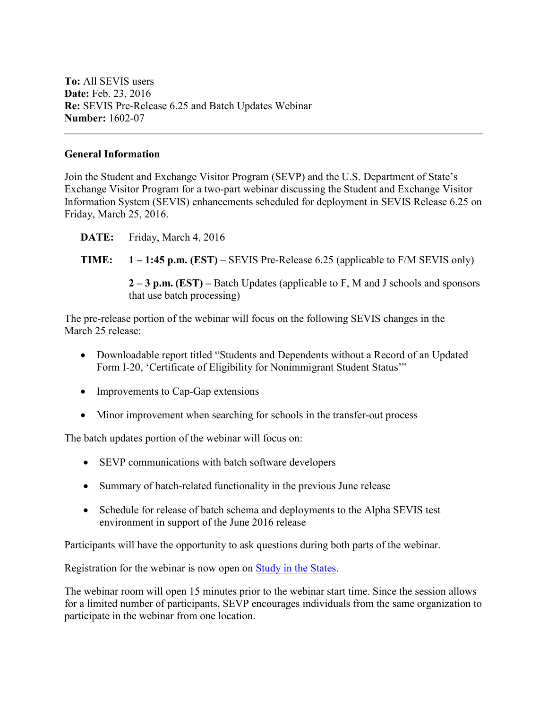**To:** All SEVIS users **Date:** Feb. 23, 2016 **Re:** SEVIS Pre-Release 6.25 and Batch Updates Webinar **Number:** 1602-07

## **General Information**

Join the Student and Exchange Visitor Program (SEVP) and the U.S. Department of State's Exchange Visitor Program for a two-part webinar discussing the Student and Exchange Visitor Information System (SEVIS) enhancements scheduled for deployment in SEVIS Release 6.25 on Friday, March 25, 2016.

- **DATE:** Friday, March 4, 2016
- **TIME: 1 – 1:45 p.m. (EST)** SEVIS Pre-Release 6.25 (applicable to F/M SEVIS only)

**2 – 3 p.m. (EST) –** Batch Updates (applicable to F, M and J schools and sponsors that use batch processing)

The pre-release portion of the webinar will focus on the following SEVIS changes in the March 25 release:

- Downloadable report titled "Students and Dependents without a Record of an Updated Form I-20, 'Certificate of Eligibility for Nonimmigrant Student Status'"
- Improvements to Cap-Gap extensions
- Minor improvement when searching for schools in the transfer-out process

The batch updates portion of the webinar will focus on:

- SEVP communications with batch software developers
- Summary of batch-related functionality in the previous June release
- Schedule for release of batch schema and deployments to the Alpha SEVIS test environment in support of the June 2016 release

Participants will have the opportunity to ask questions during both parts of the webinar.

Registration for the webinar is now open on [Study in the States.](http://studyinthestates.dhs.gov/sevis-help-hub/learn-more/webinars)

The webinar room will open 15 minutes prior to the webinar start time. Since the session allows for a limited number of participants, SEVP encourages individuals from the same organization to participate in the webinar from one location.